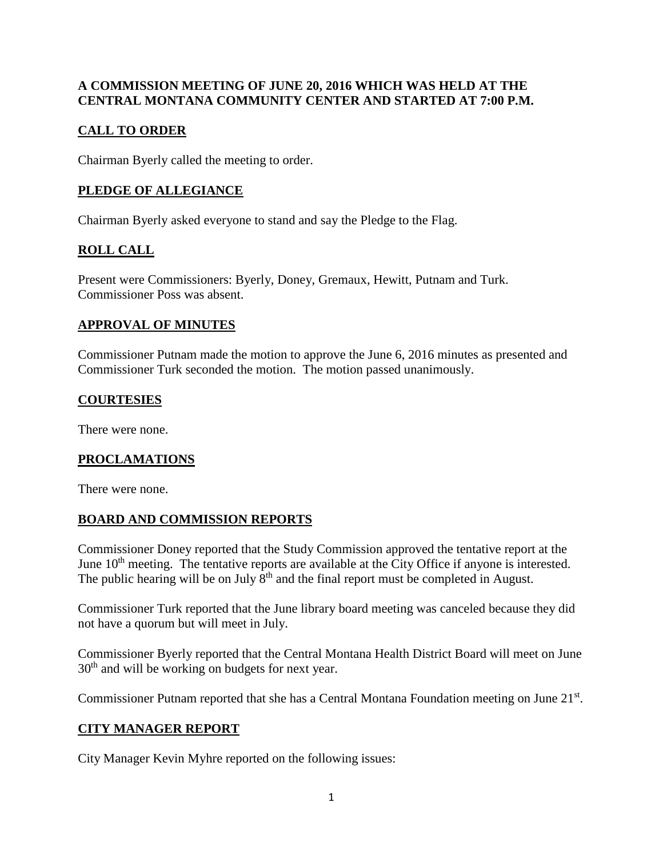### **A COMMISSION MEETING OF JUNE 20, 2016 WHICH WAS HELD AT THE CENTRAL MONTANA COMMUNITY CENTER AND STARTED AT 7:00 P.M.**

## **CALL TO ORDER**

Chairman Byerly called the meeting to order.

## **PLEDGE OF ALLEGIANCE**

Chairman Byerly asked everyone to stand and say the Pledge to the Flag.

# **ROLL CALL**

Present were Commissioners: Byerly, Doney, Gremaux, Hewitt, Putnam and Turk. Commissioner Poss was absent.

### **APPROVAL OF MINUTES**

Commissioner Putnam made the motion to approve the June 6, 2016 minutes as presented and Commissioner Turk seconded the motion. The motion passed unanimously.

## **COURTESIES**

There were none.

# **PROCLAMATIONS**

There were none.

### **BOARD AND COMMISSION REPORTS**

Commissioner Doney reported that the Study Commission approved the tentative report at the June 10<sup>th</sup> meeting. The tentative reports are available at the City Office if anyone is interested. The public hearing will be on July  $8<sup>th</sup>$  and the final report must be completed in August.

Commissioner Turk reported that the June library board meeting was canceled because they did not have a quorum but will meet in July.

Commissioner Byerly reported that the Central Montana Health District Board will meet on June  $30<sup>th</sup>$  and will be working on budgets for next year.

Commissioner Putnam reported that she has a Central Montana Foundation meeting on June 21st.

# **CITY MANAGER REPORT**

City Manager Kevin Myhre reported on the following issues: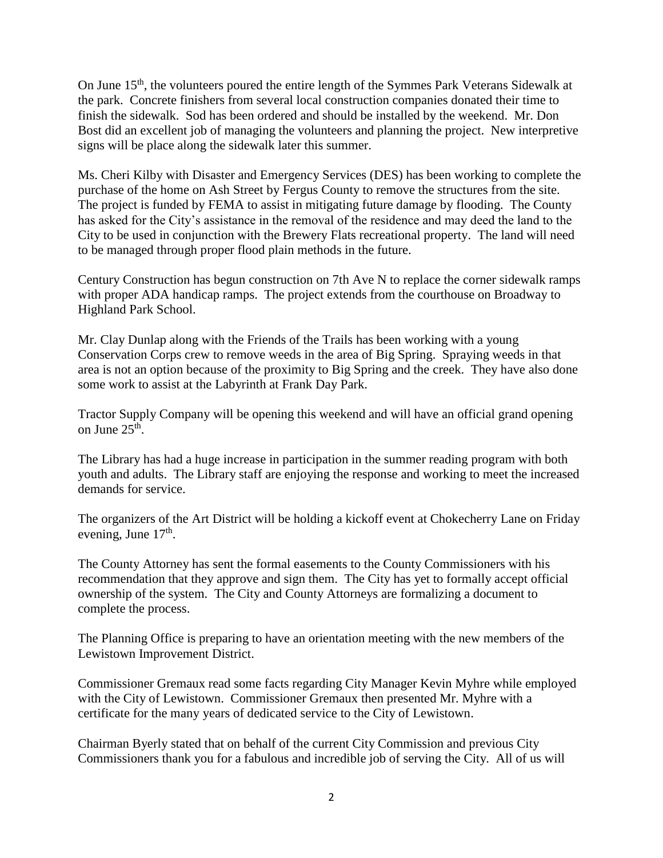On June 15<sup>th</sup>, the volunteers poured the entire length of the Symmes Park Veterans Sidewalk at the park. Concrete finishers from several local construction companies donated their time to finish the sidewalk. Sod has been ordered and should be installed by the weekend. Mr. Don Bost did an excellent job of managing the volunteers and planning the project. New interpretive signs will be place along the sidewalk later this summer.

Ms. Cheri Kilby with Disaster and Emergency Services (DES) has been working to complete the purchase of the home on Ash Street by Fergus County to remove the structures from the site. The project is funded by FEMA to assist in mitigating future damage by flooding. The County has asked for the City's assistance in the removal of the residence and may deed the land to the City to be used in conjunction with the Brewery Flats recreational property. The land will need to be managed through proper flood plain methods in the future.

Century Construction has begun construction on 7th Ave N to replace the corner sidewalk ramps with proper ADA handicap ramps. The project extends from the courthouse on Broadway to Highland Park School.

Mr. Clay Dunlap along with the Friends of the Trails has been working with a young Conservation Corps crew to remove weeds in the area of Big Spring. Spraying weeds in that area is not an option because of the proximity to Big Spring and the creek. They have also done some work to assist at the Labyrinth at Frank Day Park.

Tractor Supply Company will be opening this weekend and will have an official grand opening on June  $25^{\text{th}}$ .

The Library has had a huge increase in participation in the summer reading program with both youth and adults. The Library staff are enjoying the response and working to meet the increased demands for service.

The organizers of the Art District will be holding a kickoff event at Chokecherry Lane on Friday evening, June  $17<sup>th</sup>$ .

The County Attorney has sent the formal easements to the County Commissioners with his recommendation that they approve and sign them. The City has yet to formally accept official ownership of the system. The City and County Attorneys are formalizing a document to complete the process.

The Planning Office is preparing to have an orientation meeting with the new members of the Lewistown Improvement District.

Commissioner Gremaux read some facts regarding City Manager Kevin Myhre while employed with the City of Lewistown. Commissioner Gremaux then presented Mr. Myhre with a certificate for the many years of dedicated service to the City of Lewistown.

Chairman Byerly stated that on behalf of the current City Commission and previous City Commissioners thank you for a fabulous and incredible job of serving the City. All of us will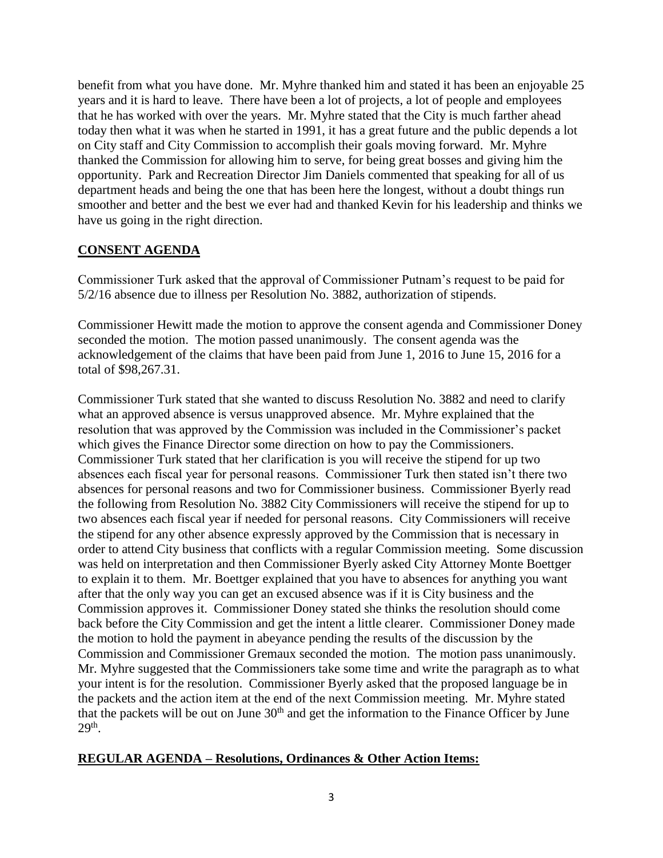benefit from what you have done. Mr. Myhre thanked him and stated it has been an enjoyable 25 years and it is hard to leave. There have been a lot of projects, a lot of people and employees that he has worked with over the years. Mr. Myhre stated that the City is much farther ahead today then what it was when he started in 1991, it has a great future and the public depends a lot on City staff and City Commission to accomplish their goals moving forward. Mr. Myhre thanked the Commission for allowing him to serve, for being great bosses and giving him the opportunity. Park and Recreation Director Jim Daniels commented that speaking for all of us department heads and being the one that has been here the longest, without a doubt things run smoother and better and the best we ever had and thanked Kevin for his leadership and thinks we have us going in the right direction.

### **CONSENT AGENDA**

Commissioner Turk asked that the approval of Commissioner Putnam's request to be paid for 5/2/16 absence due to illness per Resolution No. 3882, authorization of stipends.

Commissioner Hewitt made the motion to approve the consent agenda and Commissioner Doney seconded the motion. The motion passed unanimously. The consent agenda was the acknowledgement of the claims that have been paid from June 1, 2016 to June 15, 2016 for a total of \$98,267.31.

Commissioner Turk stated that she wanted to discuss Resolution No. 3882 and need to clarify what an approved absence is versus unapproved absence. Mr. Myhre explained that the resolution that was approved by the Commission was included in the Commissioner's packet which gives the Finance Director some direction on how to pay the Commissioners. Commissioner Turk stated that her clarification is you will receive the stipend for up two absences each fiscal year for personal reasons. Commissioner Turk then stated isn't there two absences for personal reasons and two for Commissioner business. Commissioner Byerly read the following from Resolution No. 3882 City Commissioners will receive the stipend for up to two absences each fiscal year if needed for personal reasons. City Commissioners will receive the stipend for any other absence expressly approved by the Commission that is necessary in order to attend City business that conflicts with a regular Commission meeting. Some discussion was held on interpretation and then Commissioner Byerly asked City Attorney Monte Boettger to explain it to them. Mr. Boettger explained that you have to absences for anything you want after that the only way you can get an excused absence was if it is City business and the Commission approves it. Commissioner Doney stated she thinks the resolution should come back before the City Commission and get the intent a little clearer. Commissioner Doney made the motion to hold the payment in abeyance pending the results of the discussion by the Commission and Commissioner Gremaux seconded the motion. The motion pass unanimously. Mr. Myhre suggested that the Commissioners take some time and write the paragraph as to what your intent is for the resolution. Commissioner Byerly asked that the proposed language be in the packets and the action item at the end of the next Commission meeting. Mr. Myhre stated that the packets will be out on June  $30<sup>th</sup>$  and get the information to the Finance Officer by June  $29<sup>th</sup>$ .

### **REGULAR AGENDA – Resolutions, Ordinances & Other Action Items:**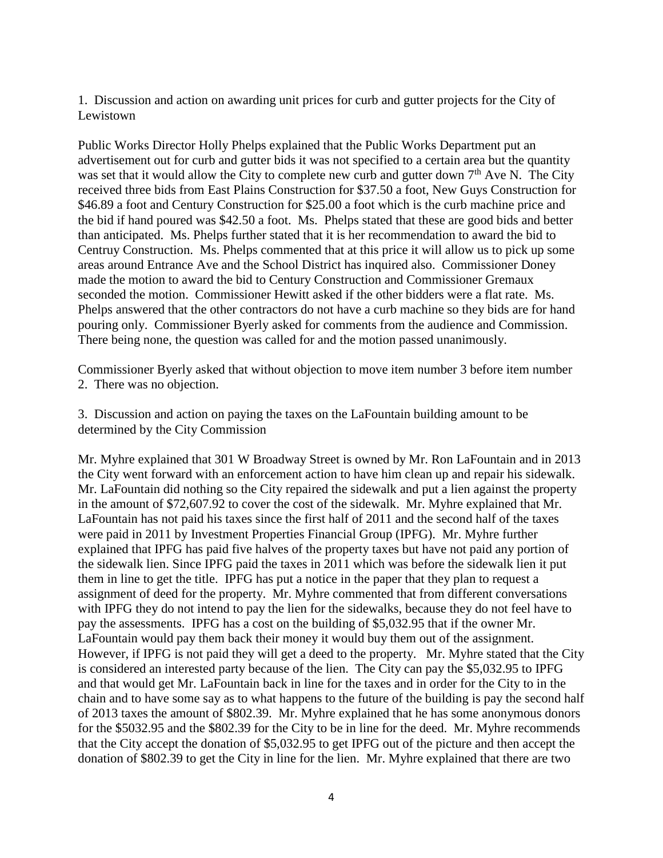1. Discussion and action on awarding unit prices for curb and gutter projects for the City of Lewistown

Public Works Director Holly Phelps explained that the Public Works Department put an advertisement out for curb and gutter bids it was not specified to a certain area but the quantity was set that it would allow the City to complete new curb and gutter down  $7<sup>th</sup>$  Ave N. The City received three bids from East Plains Construction for \$37.50 a foot, New Guys Construction for \$46.89 a foot and Century Construction for \$25.00 a foot which is the curb machine price and the bid if hand poured was \$42.50 a foot. Ms. Phelps stated that these are good bids and better than anticipated. Ms. Phelps further stated that it is her recommendation to award the bid to Centruy Construction. Ms. Phelps commented that at this price it will allow us to pick up some areas around Entrance Ave and the School District has inquired also. Commissioner Doney made the motion to award the bid to Century Construction and Commissioner Gremaux seconded the motion. Commissioner Hewitt asked if the other bidders were a flat rate. Ms. Phelps answered that the other contractors do not have a curb machine so they bids are for hand pouring only. Commissioner Byerly asked for comments from the audience and Commission. There being none, the question was called for and the motion passed unanimously.

Commissioner Byerly asked that without objection to move item number 3 before item number 2. There was no objection.

3. Discussion and action on paying the taxes on the LaFountain building amount to be determined by the City Commission

Mr. Myhre explained that 301 W Broadway Street is owned by Mr. Ron LaFountain and in 2013 the City went forward with an enforcement action to have him clean up and repair his sidewalk. Mr. LaFountain did nothing so the City repaired the sidewalk and put a lien against the property in the amount of \$72,607.92 to cover the cost of the sidewalk. Mr. Myhre explained that Mr. LaFountain has not paid his taxes since the first half of 2011 and the second half of the taxes were paid in 2011 by Investment Properties Financial Group (IPFG). Mr. Myhre further explained that IPFG has paid five halves of the property taxes but have not paid any portion of the sidewalk lien. Since IPFG paid the taxes in 2011 which was before the sidewalk lien it put them in line to get the title. IPFG has put a notice in the paper that they plan to request a assignment of deed for the property. Mr. Myhre commented that from different conversations with IPFG they do not intend to pay the lien for the sidewalks, because they do not feel have to pay the assessments. IPFG has a cost on the building of \$5,032.95 that if the owner Mr. LaFountain would pay them back their money it would buy them out of the assignment. However, if IPFG is not paid they will get a deed to the property. Mr. Myhre stated that the City is considered an interested party because of the lien. The City can pay the \$5,032.95 to IPFG and that would get Mr. LaFountain back in line for the taxes and in order for the City to in the chain and to have some say as to what happens to the future of the building is pay the second half of 2013 taxes the amount of \$802.39. Mr. Myhre explained that he has some anonymous donors for the \$5032.95 and the \$802.39 for the City to be in line for the deed. Mr. Myhre recommends that the City accept the donation of \$5,032.95 to get IPFG out of the picture and then accept the donation of \$802.39 to get the City in line for the lien. Mr. Myhre explained that there are two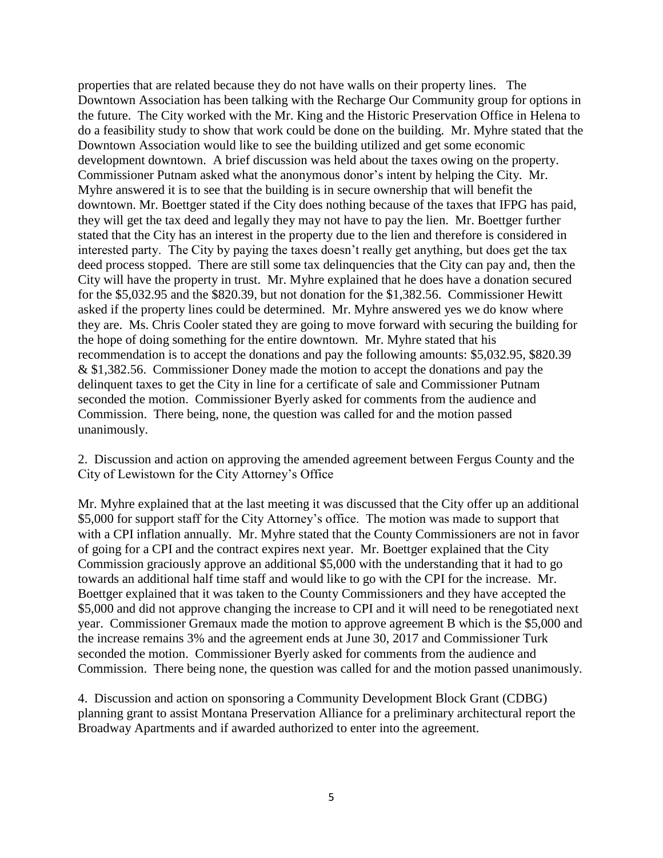properties that are related because they do not have walls on their property lines. The Downtown Association has been talking with the Recharge Our Community group for options in the future. The City worked with the Mr. King and the Historic Preservation Office in Helena to do a feasibility study to show that work could be done on the building. Mr. Myhre stated that the Downtown Association would like to see the building utilized and get some economic development downtown. A brief discussion was held about the taxes owing on the property. Commissioner Putnam asked what the anonymous donor's intent by helping the City. Mr. Myhre answered it is to see that the building is in secure ownership that will benefit the downtown. Mr. Boettger stated if the City does nothing because of the taxes that IFPG has paid, they will get the tax deed and legally they may not have to pay the lien. Mr. Boettger further stated that the City has an interest in the property due to the lien and therefore is considered in interested party. The City by paying the taxes doesn't really get anything, but does get the tax deed process stopped. There are still some tax delinquencies that the City can pay and, then the City will have the property in trust. Mr. Myhre explained that he does have a donation secured for the \$5,032.95 and the \$820.39, but not donation for the \$1,382.56. Commissioner Hewitt asked if the property lines could be determined. Mr. Myhre answered yes we do know where they are. Ms. Chris Cooler stated they are going to move forward with securing the building for the hope of doing something for the entire downtown. Mr. Myhre stated that his recommendation is to accept the donations and pay the following amounts: \$5,032.95, \$820.39 & \$1,382.56. Commissioner Doney made the motion to accept the donations and pay the delinquent taxes to get the City in line for a certificate of sale and Commissioner Putnam seconded the motion. Commissioner Byerly asked for comments from the audience and Commission. There being, none, the question was called for and the motion passed unanimously.

2. Discussion and action on approving the amended agreement between Fergus County and the City of Lewistown for the City Attorney's Office

Mr. Myhre explained that at the last meeting it was discussed that the City offer up an additional \$5,000 for support staff for the City Attorney's office. The motion was made to support that with a CPI inflation annually. Mr. Myhre stated that the County Commissioners are not in favor of going for a CPI and the contract expires next year. Mr. Boettger explained that the City Commission graciously approve an additional \$5,000 with the understanding that it had to go towards an additional half time staff and would like to go with the CPI for the increase. Mr. Boettger explained that it was taken to the County Commissioners and they have accepted the \$5,000 and did not approve changing the increase to CPI and it will need to be renegotiated next year. Commissioner Gremaux made the motion to approve agreement B which is the \$5,000 and the increase remains 3% and the agreement ends at June 30, 2017 and Commissioner Turk seconded the motion. Commissioner Byerly asked for comments from the audience and Commission. There being none, the question was called for and the motion passed unanimously.

4. Discussion and action on sponsoring a Community Development Block Grant (CDBG) planning grant to assist Montana Preservation Alliance for a preliminary architectural report the Broadway Apartments and if awarded authorized to enter into the agreement.